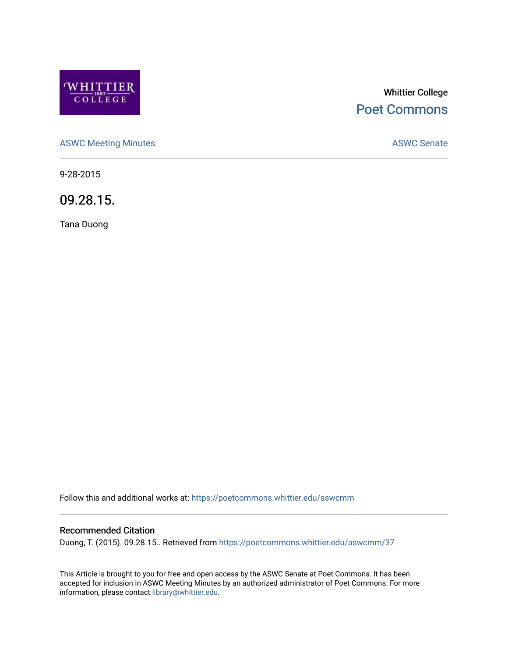

## Whittier College [Poet Commons](https://poetcommons.whittier.edu/)

[ASWC Meeting Minutes](https://poetcommons.whittier.edu/aswcmm) **ASWC Senate** 

9-28-2015

09.28.15.

Tana Duong

Follow this and additional works at: [https://poetcommons.whittier.edu/aswcmm](https://poetcommons.whittier.edu/aswcmm?utm_source=poetcommons.whittier.edu%2Faswcmm%2F37&utm_medium=PDF&utm_campaign=PDFCoverPages)

## Recommended Citation

Duong, T. (2015). 09.28.15.. Retrieved from [https://poetcommons.whittier.edu/aswcmm/37](https://poetcommons.whittier.edu/aswcmm/37?utm_source=poetcommons.whittier.edu%2Faswcmm%2F37&utm_medium=PDF&utm_campaign=PDFCoverPages) 

This Article is brought to you for free and open access by the ASWC Senate at Poet Commons. It has been accepted for inclusion in ASWC Meeting Minutes by an authorized administrator of Poet Commons. For more information, please contact [library@whittier.edu.](mailto:library@whittier.edu)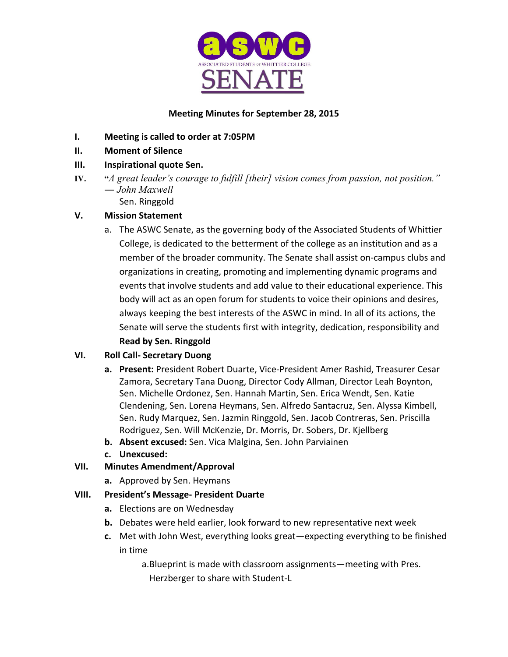

## **Meeting Minutes for September 28, 2015**

- **I.** Meeting is called to order at 7:05PM
- **II. Moment of Silence**
- **III. Inspirational quote Sen.**
- **IV. "***A great leader's courage to fulfill [their] vision comes from passion, not position." ― John Maxwell*
	- Sen. Ringgold

## **V. Mission Statement**

a. The ASWC Senate, as the governing body of the Associated Students of Whittier College, is dedicated to the betterment of the college as an institution and as a member of the broader community. The Senate shall assist on-campus clubs and organizations in creating, promoting and implementing dynamic programs and events that involve students and add value to their educational experience. This body will act as an open forum for students to voice their opinions and desires, always keeping the best interests of the ASWC in mind. In all of its actions, the Senate will serve the students first with integrity, dedication, responsibility and **Read by Sen. Ringgold** 

## **VI. Roll Call- Secretary Duong**

- **a.** Present: President Robert Duarte, Vice-President Amer Rashid, Treasurer Cesar Zamora, Secretary Tana Duong, Director Cody Allman, Director Leah Boynton, Sen. Michelle Ordonez, Sen. Hannah Martin, Sen. Erica Wendt, Sen. Katie Clendening, Sen. Lorena Heymans, Sen. Alfredo Santacruz, Sen. Alyssa Kimbell, Sen. Rudy Marquez, Sen. Jazmin Ringgold, Sen. Jacob Contreras, Sen. Priscilla Rodriguez, Sen. Will McKenzie, Dr. Morris, Dr. Sobers, Dr. Kjellberg
- **b.** Absent excused: Sen. Vica Malgina, Sen. John Parviainen
- **c. Unexcused:**

## **VII. Minutes Amendment/Approval**

**a.** Approved by Sen. Heymans

## **VIII. President's Message- President Duarte**

- **a.** Elections are on Wednesday
- **b.** Debates were held earlier, look forward to new representative next week
- **c.** Met with John West, everything looks great—expecting everything to be finished in time

a. Blueprint is made with classroom assignments—meeting with Pres. Herzberger to share with Student-L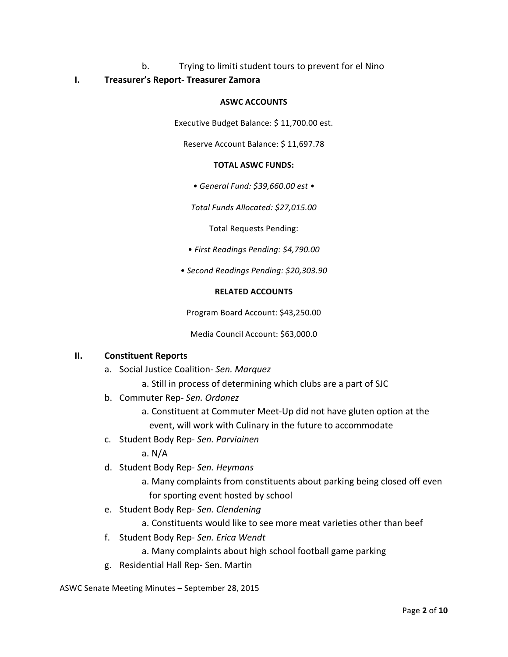# b. Trying to limiti student tours to prevent for el Nino

## **I. Treasurer's Report- Treasurer Zamora**

#### **ASWC ACCOUNTS**

Executive Budget Balance: \$11,700.00 est.

Reserve Account Balance: \$11,697.78

#### **TOTAL ASWC FUNDS:**

*• General Fund: \$39,660.00 est •*

*Total Funds Allocated: \$27,015.00*

Total Requests Pending:

- *First Readings Pending: \$4,790.00*
- *• Second Readings Pending: \$20,303.90*

#### **RELATED ACCOUNTS**

Program Board Account: \$43,250.00

Media Council Account: \$63,000.0

## **II. Constituent Reports**

- a. Social Justice Coalition- Sen. Marquez
	- a. Still in process of determining which clubs are a part of SJC
- b. Commuter Rep- Sen. Ordonez
	- a. Constituent at Commuter Meet-Up did not have gluten option at the event, will work with Culinary in the future to accommodate
- c. Student Body Rep- *Sen. Parviainen*

a. N/A 

- d. Student Body Rep- *Sen. Heymans*
	- a. Many complaints from constituents about parking being closed off even for sporting event hosted by school
- e. Student Body Rep- *Sen. Clendening*

a. Constituents would like to see more meat varieties other than beef

f. Student Body Rep- Sen. Erica Wendt

a. Many complaints about high school football game parking

g. Residential Hall Rep- Sen. Martin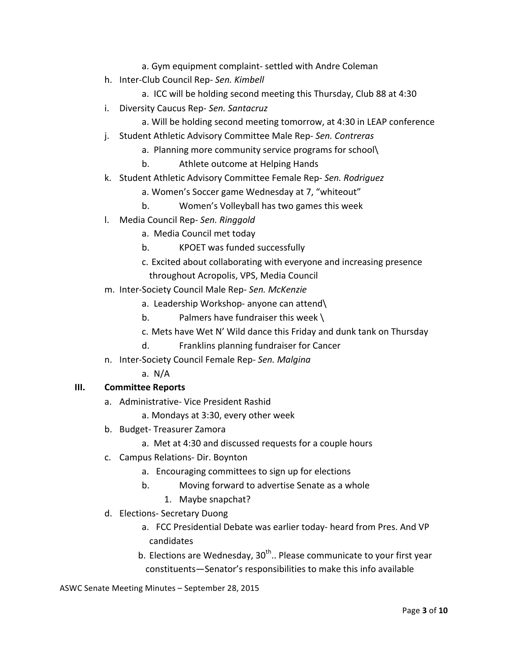- a. Gym equipment complaint- settled with Andre Coleman
- h. Inter-Club Council Rep- *Sen. Kimbell*
	- a. ICC will be holding second meeting this Thursday, Club 88 at 4:30
- i. Diversity Caucus Rep- Sen. Santacruz
	- a. Will be holding second meeting tomorrow, at 4:30 in LEAP conference
- j. Student Athletic Advisory Committee Male Rep- Sen. Contreras
	- a. Planning more community service programs for school\
	- b. Athlete outcome at Helping Hands
- k. Student Athletic Advisory Committee Female Rep- Sen. Rodriguez
	- a. Women's Soccer game Wednesday at 7, "whiteout"
	- b. Women's Volleyball has two games this week
- l. Media Council Rep- *Sen. Ringgold* 
	- a. Media Council met today
	- b. KPOET was funded successfully
	- c. Excited about collaborating with everyone and increasing presence throughout Acropolis, VPS, Media Council
- m. Inter-Society Council Male Rep- *Sen. McKenzie*
	- a. Leadership Workshop- anyone can attend\
	- b. Palmers have fundraiser this week  $\setminus$
	- c. Mets have Wet N' Wild dance this Friday and dunk tank on Thursday
	- d. Franklins planning fundraiser for Cancer
- n. Inter-Society Council Female Rep- *Sen. Malgina*
	- a. N/A

## **III. Committee Reports**

- a. Administrative- Vice President Rashid
	- a. Mondays at 3:30, every other week
- b. Budget- Treasurer Zamora
	- a. Met at 4:30 and discussed requests for a couple hours
- c. Campus Relations- Dir. Boynton
	- a. Encouraging committees to sign up for elections
	- b. Moving forward to advertise Senate as a whole
		- 1. Maybe snapchat?
- d. Elections- Secretary Duong
	- a. FCC Presidential Debate was earlier today- heard from Pres. And VP candidates
	- b. Elections are Wednesday,  $30<sup>th</sup>$ .. Please communicate to your first year constituents—Senator's responsibilities to make this info available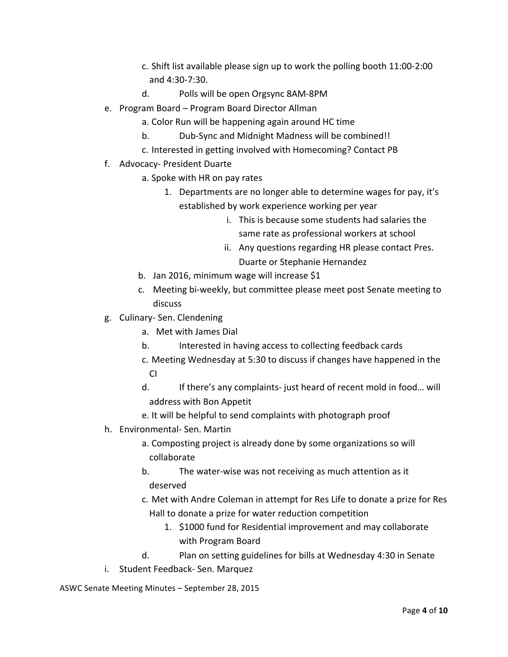- c. Shift list available please sign up to work the polling booth 11:00-2:00 and 4:30-7:30.
- d. Polls will be open Orgsync 8AM-8PM
- e. Program Board Program Board Director Allman
	- a. Color Run will be happening again around HC time
	- b. Dub-Sync and Midnight Madness will be combined!!
	- c. Interested in getting involved with Homecoming? Contact PB
- f. Advocacy- President Duarte
	- a. Spoke with HR on pay rates
		- 1. Departments are no longer able to determine wages for pay, it's established by work experience working per year
			- i. This is because some students had salaries the same rate as professional workers at school
			- ii. Any questions regarding HR please contact Pres. Duarte or Stephanie Hernandez
	- b. Jan 2016, minimum wage will increase \$1
	- c. Meeting bi-weekly, but committee please meet post Senate meeting to discuss
- g. Culinary- Sen. Clendening
	- a. Met with James Dial
	- b. Interested in having access to collecting feedback cards
	- c. Meeting Wednesday at 5:30 to discuss if changes have happened in the  $\overline{C}$
	- d. If there's any complaints- just heard of recent mold in food... will address with Bon Appetit
	- e. It will be helpful to send complaints with photograph proof
- h. Environmental- Sen. Martin
	- a. Composting project is already done by some organizations so will collaborate
	- b. The water-wise was not receiving as much attention as it deserved
	- c. Met with Andre Coleman in attempt for Res Life to donate a prize for Res Hall to donate a prize for water reduction competition
		- 1. \$1000 fund for Residential improvement and may collaborate with Program Board
	- d. Plan on setting guidelines for bills at Wednesday 4:30 in Senate
- i. Student Feedback- Sen. Marquez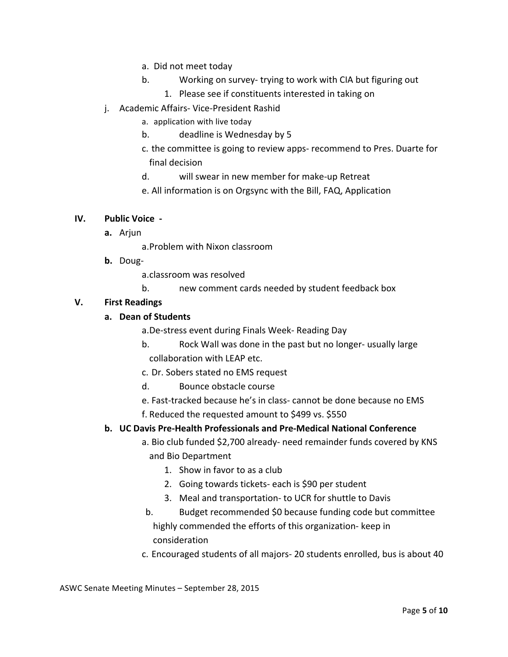- a. Did not meet today
- b. Working on survey- trying to work with CIA but figuring out
	- 1. Please see if constituents interested in taking on
- j. Academic Affairs- Vice-President Rashid
	- a. application with live today
	- b. deadline is Wednesday by 5
	- c. the committee is going to review apps- recommend to Pres. Duarte for final decision
	- d. will swear in new member for make-up Retreat
	- e. All information is on Orgsync with the Bill, FAQ, Application

## **IV. Public Voice** -

**a.** Arjun 

a.Problem with Nixon classroom

**b.** Doug-

a.classroom was resolved

b. hew comment cards needed by student feedback box

## **V. First Readings**

## **a. Dean of Students**

a.De-stress event during Finals Week- Reading Day

- b. Rock Wall was done in the past but no longer- usually large collaboration with LEAP etc.
- c. Dr. Sobers stated no EMS request
- d. Bounce obstacle course
- e. Fast-tracked because he's in class- cannot be done because no EMS f. Reduced the requested amount to \$499 vs. \$550

## **b. UC Davis Pre-Health Professionals and Pre-Medical National Conference**

- a. Bio club funded \$2,700 already- need remainder funds covered by KNS and Bio Department
	- 1. Show in favor to as a club
	- 2. Going towards tickets- each is \$90 per student
	- 3. Meal and transportation- to UCR for shuttle to Davis
- b. Budget recommended \$0 because funding code but committee highly commended the efforts of this organization- keep in consideration
- c. Encouraged students of all majors- 20 students enrolled, bus is about 40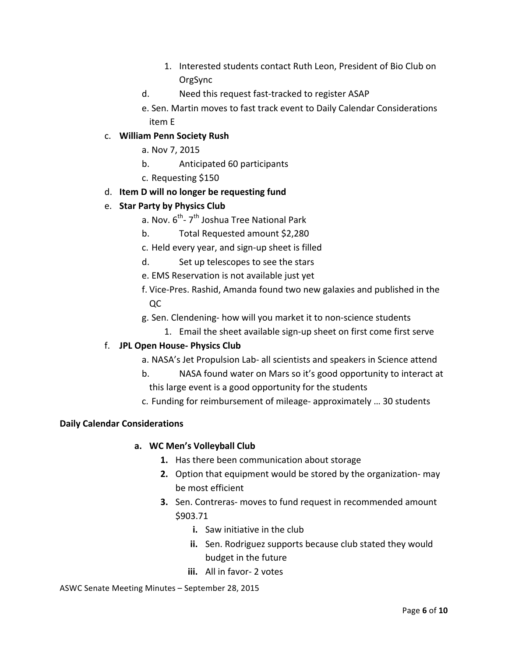- 1. Interested students contact Ruth Leon, President of Bio Club on OrgSync
- d. Need this request fast-tracked to register ASAP

e. Sen. Martin moves to fast track event to Daily Calendar Considerations item E 

## c. **William Penn Society Rush**

a. Nov 7, 2015 

- b. Anticipated 60 participants
- c. Requesting \$150

## d. **Item D will no longer be requesting fund**

## e. **Star Party by Physics Club**

- a. Nov.  $6^{th}$  7<sup>th</sup> Joshua Tree National Park
- b. Total Requested amount \$2,280
- c. Held every year, and sign-up sheet is filled
- d. Set up telescopes to see the stars
- e. EMS Reservation is not available just yet
- f. Vice-Pres. Rashid, Amanda found two new galaxies and published in the QC
- g. Sen. Clendening- how will you market it to non-science students
	- 1. Email the sheet available sign-up sheet on first come first serve

## f. **JPL Open House- Physics Club**

- a. NASA's Jet Propulsion Lab- all scientists and speakers in Science attend
- b. NASA found water on Mars so it's good opportunity to interact at this large event is a good opportunity for the students
- c. Funding for reimbursement of mileage- approximately ... 30 students

## **Daily Calendar Considerations**

## **a. WC Men's Volleyball Club**

- **1.** Has there been communication about storage
- **2.** Option that equipment would be stored by the organization- may be most efficient
- **3.** Sen. Contreras- moves to fund request in recommended amount \$903.71
	- **i.** Saw initiative in the club
	- **ii.** Sen. Rodriguez supports because club stated they would budget in the future
	- **iii.** All in favor- 2 votes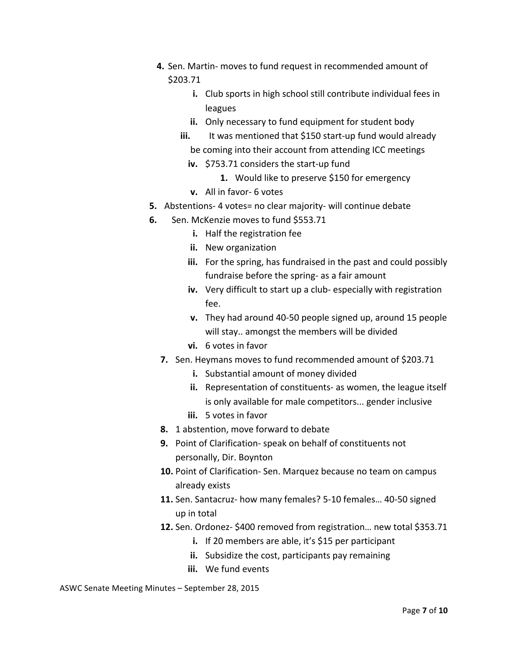- **4.** Sen. Martin- moves to fund request in recommended amount of \$203.71
	- **i.** Club sports in high school still contribute individual fees in leagues
	- **ii.** Only necessary to fund equipment for student body
	- **iii.** It was mentioned that \$150 start-up fund would already be coming into their account from attending ICC meetings
		- **iv.** \$753.71 considers the start-up fund
			- 1. Would like to preserve \$150 for emergency
		- **v.** All in favor- 6 votes
- **5.** Abstentions-4 votes= no clear majority- will continue debate
- **6.** Sen. McKenzie moves to fund \$553.71
	- **i.** Half the registration fee
	- **ii.** New organization
	- **iii.** For the spring, has fundraised in the past and could possibly fundraise before the spring- as a fair amount
	- iv. Very difficult to start up a club- especially with registration fee.
	- **v.** They had around 40-50 people signed up, around 15 people will stay.. amongst the members will be divided
	- **vi.** 6 votes in favor
	- **7.** Sen. Heymans moves to fund recommended amount of \$203.71
		- **i.** Substantial amount of money divided
		- **ii.** Representation of constituents- as women, the league itself is only available for male competitors... gender inclusive
		- **iii.** 5 votes in favor
	- **8.** 1 abstention, move forward to debate
	- **9.** Point of Clarification- speak on behalf of constituents not personally, Dir. Boynton
	- **10.** Point of Clarification- Sen. Marquez because no team on campus already exists
	- **11.** Sen. Santacruz- how many females? 5-10 females... 40-50 signed up in total
	- **12.** Sen. Ordonez- \$400 removed from registration... new total \$353.71
		- **i.** If 20 members are able, it's \$15 per participant
		- **ii.** Subsidize the cost, participants pay remaining
		- **iii.** We fund events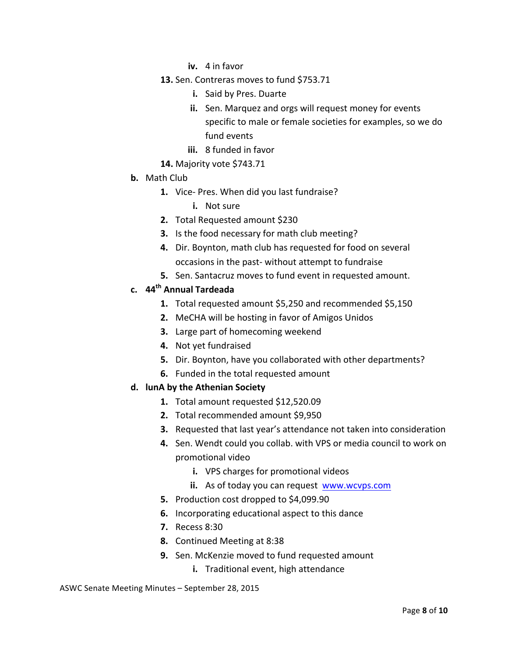- **iv.** 4 in favor
- **13.** Sen. Contreras moves to fund \$753.71
	- **i.** Said by Pres. Duarte
	- **ii.** Sen. Marquez and orgs will request money for events specific to male or female societies for examples, so we do fund events
	- **iii.** 8 funded in favor
- **14.** Majority vote \$743.71
- **b.** Math Club
	- **1.** Vice- Pres. When did you last fundraise?
		- **i.** Not sure
	- **2.** Total Requested amount \$230
	- **3.** Is the food necessary for math club meeting?
	- **4.** Dir. Boynton, math club has requested for food on several occasions in the past- without attempt to fundraise
	- **5.** Sen. Santacruz moves to fund event in requested amount.

## **c. 44th Annual Tardeada**

- **1.** Total requested amount \$5,250 and recommended \$5,150
- **2.** MeCHA will be hosting in favor of Amigos Unidos
- **3.** Large part of homecoming weekend
- **4.** Not yet fundraised
- **5.** Dir. Boynton, have you collaborated with other departments?
- **6.** Funded in the total requested amount

## **d. lunA by the Athenian Society**

- 1. Total amount requested \$12,520.09
- **2.** Total recommended amount \$9,950
- **3.** Requested that last year's attendance not taken into consideration
- **4.** Sen. Wendt could you collab. with VPS or media council to work on promotional video
	- **i.** VPS charges for promotional videos
	- **ii.** As of today you can request www.wcvps.com
- **5.** Production cost dropped to \$4,099.90
- **6.** Incorporating educational aspect to this dance
- **7.** Recess 8:30
- **8.** Continued Meeting at 8:38
- **9.** Sen. McKenzie moved to fund requested amount
	- **i.** Traditional event, high attendance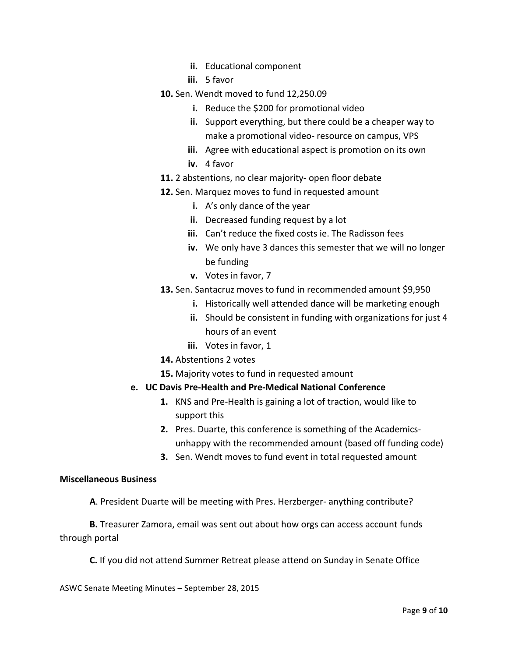- **ii.** Educational component
- **iii.** 5 favor
- **10.** Sen. Wendt moved to fund 12,250.09
	- **i.** Reduce the \$200 for promotional video
	- **ii.** Support everything, but there could be a cheaper way to make a promotional video- resource on campus, VPS
	- **iii.** Agree with educational aspect is promotion on its own
	- iv. 4 favor
- 11. 2 abstentions, no clear majority- open floor debate
- **12.** Sen. Marquez moves to fund in requested amount
	- **i.** A's only dance of the year
	- **ii.** Decreased funding request by a lot
	- **iii.** Can't reduce the fixed costs ie. The Radisson fees
	- **iv.** We only have 3 dances this semester that we will no longer be funding
	- **v.** Votes in favor, 7
- **13.** Sen. Santacruz moves to fund in recommended amount \$9,950
	- **i.** Historically well attended dance will be marketing enough
	- **ii.** Should be consistent in funding with organizations for just 4 hours of an event
	- **iii.** Votes in favor, 1
- **14.** Abstentions 2 votes
- **15.** Majority votes to fund in requested amount
- **e. UC Davis Pre-Health and Pre-Medical National Conference** 
	- **1.** KNS and Pre-Health is gaining a lot of traction, would like to support this
	- **2.** Pres. Duarte, this conference is something of the Academicsunhappy with the recommended amount (based off funding code)
	- **3.** Sen. Wendt moves to fund event in total requested amount

#### **Miscellaneous Business**

**A**. President Duarte will be meeting with Pres. Herzberger- anything contribute?

**B.** Treasurer Zamora, email was sent out about how orgs can access account funds through portal

**C.** If you did not attend Summer Retreat please attend on Sunday in Senate Office